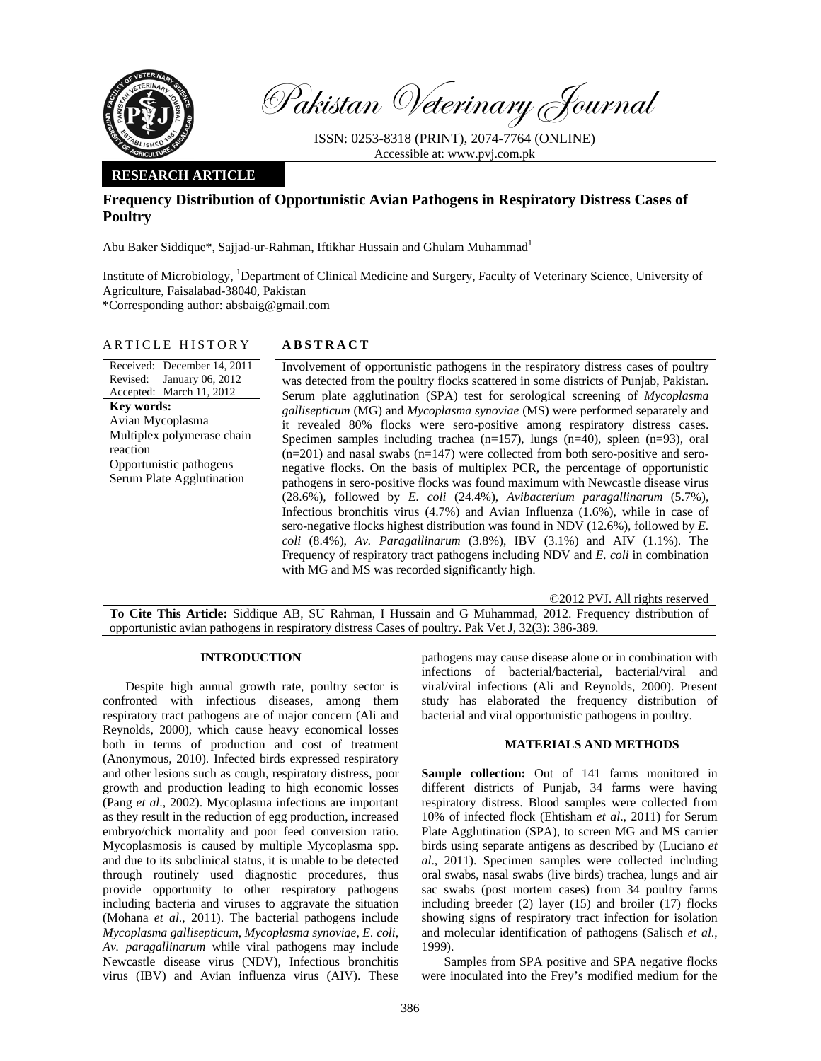

Pakistan Veterinary Journal

ISSN: 0253-8318 (PRINT), 2074-7764 (ONLINE) Accessible at: www.pvj.com.pk

## **RESEARCH ARTICLE**

# **Frequency Distribution of Opportunistic Avian Pathogens in Respiratory Distress Cases of Poultry**

Abu Baker Siddique\*, Sajjad-ur-Rahman, Iftikhar Hussain and Ghulam Muhammad<sup>1</sup>

Institute of Microbiology, <sup>1</sup>Department of Clinical Medicine and Surgery, Faculty of Veterinary Science, University of Agriculture, Faisalabad-38040, Pakistan

\*Corresponding author: absbaig@gmail.com

### ARTICLE HISTORY **ABSTRACT**

Received: December 14, 2011 Revised: January 06, 2012 Accepted: March 11, 2012 **Key words:**  Avian Mycoplasma Multiplex polymerase chain reaction Opportunistic pathogens Serum Plate Agglutination

Involvement of opportunistic pathogens in the respiratory distress cases of poultry was detected from the poultry flocks scattered in some districts of Punjab, Pakistan. Serum plate agglutination (SPA) test for serological screening of *Mycoplasma gallisepticum* (MG) and *Mycoplasma synoviae* (MS) were performed separately and it revealed 80% flocks were sero-positive among respiratory distress cases. Specimen samples including trachea  $(n=157)$ , lungs  $(n=40)$ , spleen  $(n=93)$ , oral  $(n=201)$  and nasal swabs  $(n=147)$  were collected from both sero-positive and seronegative flocks. On the basis of multiplex PCR, the percentage of opportunistic pathogens in sero-positive flocks was found maximum with Newcastle disease virus (28.6%)*,* followed by *E. coli* (24.4%), *Avibacterium paragallinarum* (5.7%), Infectious bronchitis virus (4.7%) and Avian Influenza (1.6%), while in case of sero-negative flocks highest distribution was found in NDV (12.6%)*,* followed by *E. coli* (8.4%), *Av. Paragallinarum* (3.8%), IBV (3.1%) and AIV (1.1%). The Frequency of respiratory tract pathogens including NDV and *E. coli* in combination with MG and MS was recorded significantly high.

©2012 PVJ. All rights reserved

**To Cite This Article:** Siddique AB, SU Rahman, I Hussain and G Muhammad, 2012. Frequency distribution of opportunistic avian pathogens in respiratory distress Cases of poultry. Pak Vet J, 32(3): 386-389.

#### **INTRODUCTION**

Despite high annual growth rate, poultry sector is confronted with infectious diseases, among them respiratory tract pathogens are of major concern (Ali and Reynolds, 2000), which cause heavy economical losses both in terms of production and cost of treatment (Anonymous, 2010). Infected birds expressed respiratory and other lesions such as cough, respiratory distress, poor growth and production leading to high economic losses (Pang *et al*., 2002). Mycoplasma infections are important as they result in the reduction of egg production, increased embryo/chick mortality and poor feed conversion ratio. Mycoplasmosis is caused by multiple Mycoplasma spp. and due to its subclinical status, it is unable to be detected through routinely used diagnostic procedures, thus provide opportunity to other respiratory pathogens including bacteria and viruses to aggravate the situation (Mohana *et al*., 2011). The bacterial pathogens include *Mycoplasma gallisepticum*, *Mycoplasma synoviae*, *E. coli*, *Av. paragallinarum* while viral pathogens may include Newcastle disease virus (NDV), Infectious bronchitis virus (IBV) and Avian influenza virus (AIV). These

pathogens may cause disease alone or in combination with infections of bacterial/bacterial, bacterial/viral and viral/viral infections (Ali and Reynolds, 2000). Present study has elaborated the frequency distribution of bacterial and viral opportunistic pathogens in poultry.

### **MATERIALS AND METHODS**

Sample collection: Out of 141 farms monitored in different districts of Punjab, 34 farms were having respiratory distress. Blood samples were collected from 10% of infected flock (Ehtisham *et al*., 2011) for Serum Plate Agglutination (SPA), to screen MG and MS carrier birds using separate antigens as described by (Luciano *et al*., 2011). Specimen samples were collected including oral swabs, nasal swabs (live birds) trachea, lungs and air sac swabs (post mortem cases) from 34 poultry farms including breeder (2) layer (15) and broiler (17) flocks showing signs of respiratory tract infection for isolation and molecular identification of pathogens (Salisch *et al*., 1999).

Samples from SPA positive and SPA negative flocks were inoculated into the Frey's modified medium for the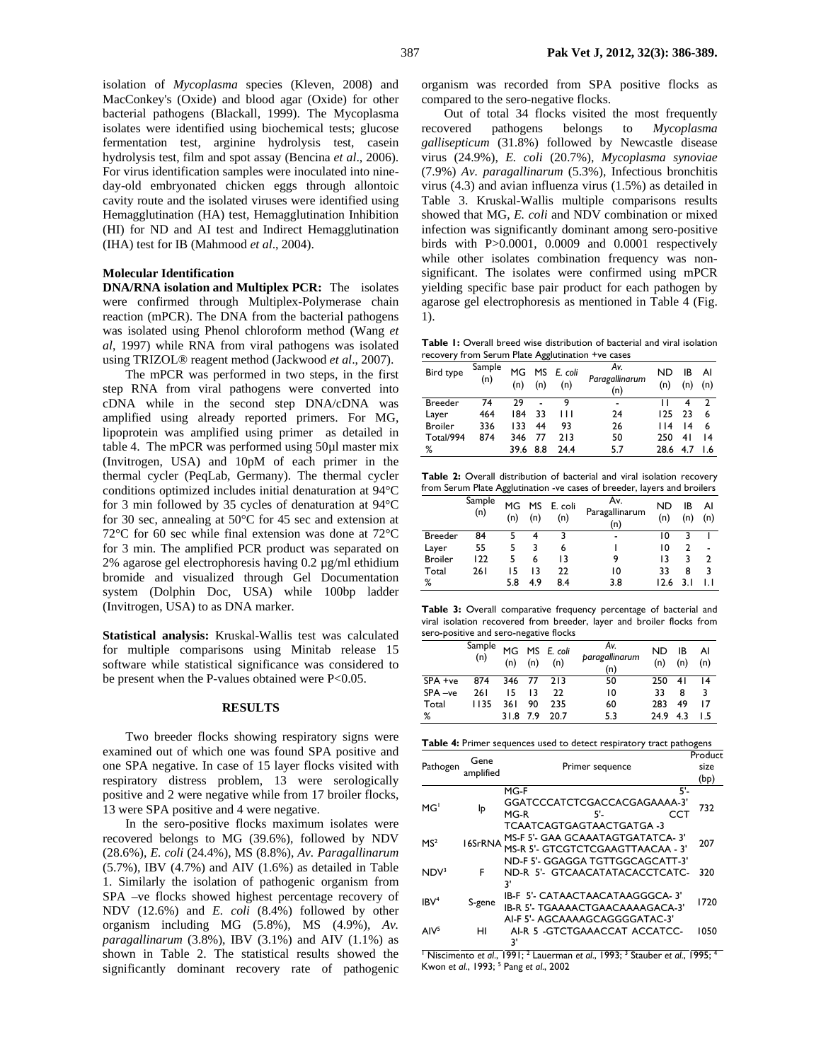isolation of *Mycoplasma* species (Kleven, 2008) and MacConkey's (Oxide) and blood agar (Oxide) for other bacterial pathogens (Blackall, 1999). The Mycoplasma isolates were identified using biochemical tests; glucose fermentation test, arginine hydrolysis test, casein hydrolysis test, film and spot assay (Bencina *et al*., 2006). For virus identification samples were inoculated into nineday-old embryonated chicken eggs through allontoic cavity route and the isolated viruses were identified using Hemagglutination (HA) test, Hemagglutination Inhibition (HI) for ND and AI test and Indirect Hemagglutination (IHA) test for IB (Mahmood *et al*., 2004).

#### **Molecular Identification**

**DNA/RNA isolation and Multiplex PCR:** The isolates were confirmed through Multiplex-Polymerase chain reaction (mPCR). The DNA from the bacterial pathogens was isolated using Phenol chloroform method (Wang *et al*, 1997) while RNA from viral pathogens was isolated using TRIZOL® reagent method (Jackwood *et al*., 2007).

The mPCR was performed in two steps, in the first step RNA from viral pathogens were converted into cDNA while in the second step DNA/cDNA was amplified using already reported primers. For MG, lipoprotein was amplified using primer as detailed in table 4. The mPCR was performed using 50µl master mix (Invitrogen, USA) and 10pM of each primer in the thermal cycler (PeqLab, Germany). The thermal cycler conditions optimized includes initial denaturation at 94°C for 3 min followed by 35 cycles of denaturation at 94°C for 30 sec, annealing at 50°C for 45 sec and extension at 72°C for 60 sec while final extension was done at 72°C for 3 min. The amplified PCR product was separated on 2% agarose gel electrophoresis having 0.2 µg/ml ethidium bromide and visualized through Gel Documentation system (Dolphin Doc, USA) while 100bp ladder (Invitrogen, USA) to as DNA marker.

**Statistical analysis:** Kruskal-Wallis test was calculated for multiple comparisons using Minitab release 15 software while statistical significance was considered to be present when the P-values obtained were P<0.05.

## **RESULTS**

Two breeder flocks showing respiratory signs were examined out of which one was found SPA positive and one SPA negative. In case of 15 layer flocks visited with respiratory distress problem, 13 were serologically positive and 2 were negative while from 17 broiler flocks, 13 were SPA positive and 4 were negative.

In the sero-positive flocks maximum isolates were recovered belongs to MG (39.6%), followed by NDV (28.6%), *E. coli* (24.4%), MS (8.8%), *Av. Paragallinarum* (5.7%), IBV (4.7%) and AIV (1.6%) as detailed in Table 1. Similarly the isolation of pathogenic organism from SPA –ve flocks showed highest percentage recovery of NDV (12.6%) and *E. coli* (8.4%) followed by other organism including MG (5.8%), MS (4.9%), *Av. paragallinarum* (3.8%), IBV (3.1%) and AIV (1.1%) as shown in Table 2. The statistical results showed the significantly dominant recovery rate of pathogenic organism was recorded from SPA positive flocks as compared to the sero-negative flocks.

Out of total 34 flocks visited the most frequently recovered pathogens belongs to *Mycoplasma gallisepticum* (31.8%) followed by Newcastle disease virus (24.9%), *E. coli* (20.7%), *Mycoplasma synoviae* (7.9%) *Av. paragallinarum* (5.3%), Infectious bronchitis virus (4.3) and avian influenza virus (1.5%) as detailed in Table 3. Kruskal-Wallis multiple comparisons results showed that MG, *E. coli* and NDV combination or mixed infection was significantly dominant among sero-positive birds with P>0.0001, 0.0009 and 0.0001 respectively while other isolates combination frequency was nonsignificant. The isolates were confirmed using mPCR yielding specific base pair product for each pathogen by agarose gel electrophoresis as mentioned in Table 4 (Fig. 1).

**Table 1:** Overall breed wise distribution of bacterial and viral isolation recovery from Serum Plate Agglutination +ve cases

| Bird type      | Sample<br>(n) | MG<br>(n) | (n) | MS E. coli<br>(n) | Av.<br>Paragallinarum<br>(n) | ND<br>(n) | ΙB<br>(n) | Al<br>(n)       |
|----------------|---------------|-----------|-----|-------------------|------------------------------|-----------|-----------|-----------------|
| <b>Breeder</b> | 74            | 79        |     | 9                 | $\blacksquare$               | ш         |           | $\mathcal{L}$   |
| Layer          | 464           | 184       | 33  | Ш                 | 24                           | 125       | 23        | 6               |
| <b>Broiler</b> | 336           | 133       | 44  | 93                | 26                           | 114       | 14        | 6               |
| Total/994      | 874           | 346       | 77  | 213               | 50                           | 250       | 41        | $\overline{14}$ |
| %              |               | 39.6      | 8.8 | 24.4              | 5.7                          | 28.6      | 4.7       | 1.6             |

**Table 2:** Overall distribution of bacterial and viral isolation recovery from Serum Plate Agglutination -ve cases of breeder, layers and broilers

|                | Sample<br>(n) | MG<br>(n) | (n) | MS E. coli<br>(n) | A۷.<br>Paragallinarum<br>(n) | ND<br>(n) | IB<br>(n) | AI<br>(n) |
|----------------|---------------|-----------|-----|-------------------|------------------------------|-----------|-----------|-----------|
| <b>Breeder</b> | 84            |           |     |                   | $\overline{\phantom{0}}$     | 10        |           |           |
| Layer          | 55            |           | 3   | 6                 |                              | 10        |           |           |
| <b>Broiler</b> | 122           |           | 6   | 13                |                              | 13        |           | 2         |
| Total          | 261           | 15        | 13  | 22                | $\overline{0}$               | 33        | 8         | 3         |
| %              |               | 5.8       | 4.9 | 8.4               | 3.8                          | 12.6      | 3. I      |           |

**Table 3:** Overall comparative frequency percentage of bacterial and viral isolation recovered from breeder, layer and broiler flocks from sero-positive and sero-negative flocks

|         | Sample<br>(n) | (n)  | (n) | MG MS E. coli<br>(n) | Av.<br>paragallinarum<br>(n) | <b>ND</b><br>(n) | ΙB<br>(n) | AI<br>(n)       |
|---------|---------------|------|-----|----------------------|------------------------------|------------------|-----------|-----------------|
| SPA +ve | 874           | 346  | 77  | 213                  | 50                           | 250              | 41        | $\overline{14}$ |
| SPA-ve  | 261           | 15   | 13  | 22                   | 10                           | 33               | 8         | २               |
| Total   | 1135          | 361  | 90  | 235                  | 60                           | 283              | 49        | 17              |
| %       |               | 31.8 | 7.9 | 20.7                 | 5.3                          | 24.9             | 4.3       | l 5             |

| Table 4: Primer sequences used to detect respiratory tract pathogens |                   |                                                                                                       |              |  |  |  |
|----------------------------------------------------------------------|-------------------|-------------------------------------------------------------------------------------------------------|--------------|--|--|--|
|                                                                      | Gene<br>amplified | Product                                                                                               |              |  |  |  |
| Pathogen                                                             |                   | Primer sequence                                                                                       | size<br>(bp) |  |  |  |
| MG <sup>1</sup>                                                      | Ιp                | MG-F<br>5'-<br>GGATCCCATCTCGACCACGAGAAAA-3'<br>MG-R<br>CCT<br>5'-                                     | 732          |  |  |  |
| MS <sup>2</sup>                                                      | 16SrRNA           | TCAATCAGTGAGTAACTGATGA -3<br>MS-F 5'- GAA GCAAATAGTGATATCA-3'<br>MS-R 5'- GTCGTCTCGAAGTTAACAA - 3'    | 207          |  |  |  |
| NDV <sup>3</sup>                                                     | F                 | ND-F 5'- GGAGGA TGTTGGCAGCATT-3'<br>ND-R 5'- GTCAACATATACACCTCATC-<br>3'                              | 320          |  |  |  |
| IBV <sup>4</sup>                                                     | S-gene            | IB-F 5'- CATAACTAACATAAGGGCA-3'<br>IB-R 5'- TGAAAACTGAACAAAAGACA-3'<br>AI-F 5'- AGCAAAAGCAGGGGATAC-3' | 1720         |  |  |  |
| AlV <sup>5</sup>                                                     | нı                | AI-R 5 - GTCTGAAACCAT ACCATCC-                                                                        | 1050         |  |  |  |

<sup>1</sup> Niscimento *et al.*, 1991; <sup>2</sup> Lauerman *et al.*, 1993; <sup>3</sup> Stauber *et al.*, 1995; <sup>4</sup> Kwon *et al*., 1993; 5 Pang *et al*., 2002

3'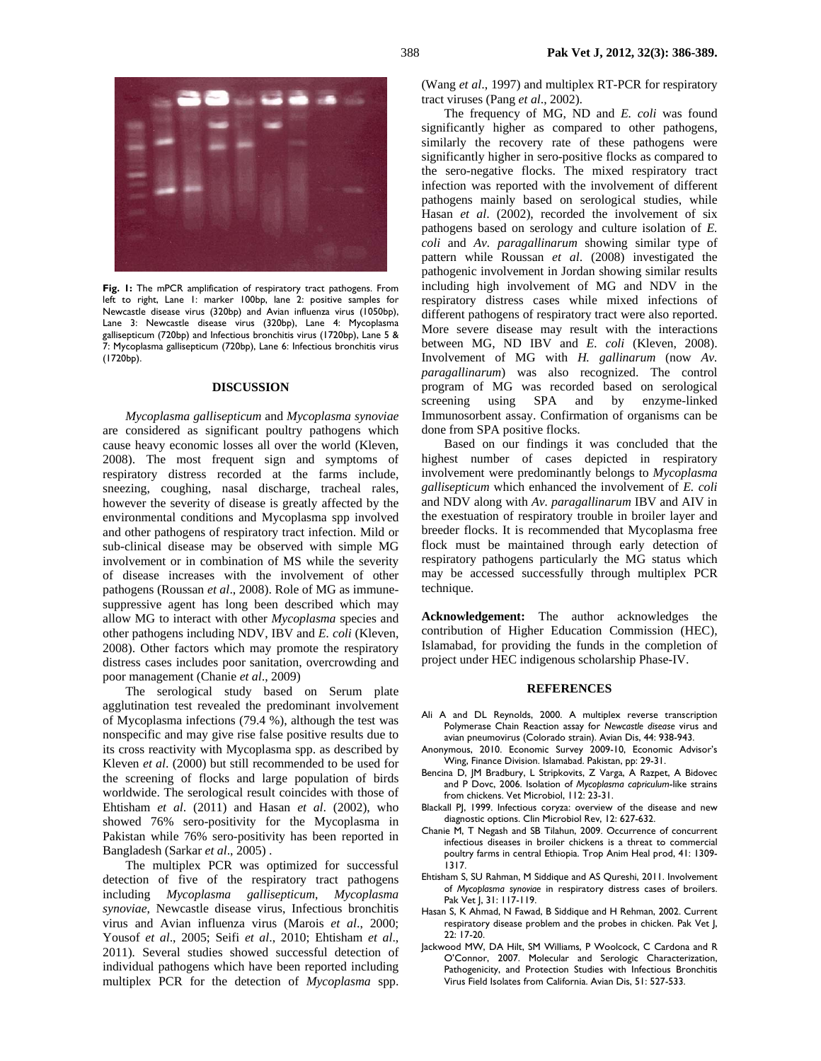

Fig. 1: The mPCR amplification of respiratory tract pathogens. From left to right, Lane 1: marker 100bp, lane 2: positive samples for Newcastle disease virus (320bp) and Avian influenza virus (1050bp), Lane 3: Newcastle disease virus (320bp), Lane 4: Mycoplasma gallisepticum (720bp) and Infectious bronchitis virus (1720bp), Lane 5 & 7: Mycoplasma gallisepticum (720bp), Lane 6: Infectious bronchitis virus (1720bp).

#### **DISCUSSION**

*Mycoplasma gallisepticum* and *Mycoplasma synoviae* are considered as significant poultry pathogens which cause heavy economic losses all over the world (Kleven, 2008). The most frequent sign and symptoms of respiratory distress recorded at the farms include, sneezing, coughing, nasal discharge, tracheal rales, however the severity of disease is greatly affected by the environmental conditions and Mycoplasma spp involved and other pathogens of respiratory tract infection. Mild or sub-clinical disease may be observed with simple MG involvement or in combination of MS while the severity of disease increases with the involvement of other pathogens (Roussan *et al*., 2008). Role of MG as immunesuppressive agent has long been described which may allow MG to interact with other *Mycoplasma* species and other pathogens including NDV, IBV and *E. coli* (Kleven, 2008). Other factors which may promote the respiratory distress cases includes poor sanitation, overcrowding and poor management (Chanie *et al*., 2009)

The serological study based on Serum plate agglutination test revealed the predominant involvement of Mycoplasma infections (79.4 %), although the test was nonspecific and may give rise false positive results due to its cross reactivity with Mycoplasma spp. as described by Kleven *et al*. (2000) but still recommended to be used for the screening of flocks and large population of birds worldwide. The serological result coincides with those of Ehtisham *et al*. (2011) and Hasan *et al*. (2002), who showed 76% sero-positivity for the Mycoplasma in Pakistan while 76% sero-positivity has been reported in Bangladesh (Sarkar *et al*., 2005) .

The multiplex PCR was optimized for successful detection of five of the respiratory tract pathogens including *Mycoplasma gallisepticum*, *Mycoplasma synoviae*, Newcastle disease virus, Infectious bronchitis virus and Avian influenza virus (Marois *et al*., 2000; Yousof *et al*., 2005; Seifi *et al*., 2010; Ehtisham *et al*., 2011)*.* Several studies showed successful detection of individual pathogens which have been reported including multiplex PCR for the detection of *Mycoplasma* spp.

(Wang *et al*., 1997) and multiplex RT-PCR for respiratory tract viruses (Pang *et al*., 2002).

The frequency of MG, ND and *E. coli* was found significantly higher as compared to other pathogens, similarly the recovery rate of these pathogens were significantly higher in sero-positive flocks as compared to the sero-negative flocks. The mixed respiratory tract infection was reported with the involvement of different pathogens mainly based on serological studies, while Hasan *et al*. (2002), recorded the involvement of six pathogens based on serology and culture isolation of *E. coli* and *Av. paragallinarum* showing similar type of pattern while Roussan *et al*. (2008) investigated the pathogenic involvement in Jordan showing similar results including high involvement of MG and NDV in the respiratory distress cases while mixed infections of different pathogens of respiratory tract were also reported. More severe disease may result with the interactions between MG, ND IBV and *E. coli* (Kleven, 2008). Involvement of MG with *H. gallinarum* (now *Av. paragallinarum*) was also recognized. The control program of MG was recorded based on serological screening using SPA and by enzyme-linked Immunosorbent assay. Confirmation of organisms can be done from SPA positive flocks.

Based on our findings it was concluded that the highest number of cases depicted in respiratory involvement were predominantly belongs to *Mycoplasma gallisepticum* which enhanced the involvement of *E. coli* and NDV along with *Av. paragallinarum* IBV and AIV in the exestuation of respiratory trouble in broiler layer and breeder flocks. It is recommended that Mycoplasma free flock must be maintained through early detection of respiratory pathogens particularly the MG status which may be accessed successfully through multiplex PCR technique.

**Acknowledgement:** The author acknowledges the contribution of Higher Education Commission (HEC), Islamabad, for providing the funds in the completion of project under HEC indigenous scholarship Phase-IV.

#### **REFERENCES**

- Ali A and DL Reynolds, 2000. A multiplex reverse transcription Polymerase Chain Reaction assay for *Newcastle disease* virus and avian pneumovirus (Colorado strain). Avian Dis, 44: 938-943.
- Anonymous, 2010. Economic Survey 2009-10, Economic Advisor's Wing, Finance Division. Islamabad. Pakistan, pp: 29-31.
- Bencina D, JM Bradbury, L Stripkovits, Z Varga, A Razpet, A Bidovec and P Dovc, 2006. Isolation of *Mycoplasma capriculum*-like strains from chickens. Vet Microbiol, 112: 23-31.
- Blackall PJ, 1999. Infectious coryza: overview of the disease and new diagnostic options. Clin Microbiol Rev, 12: 627-632.
- Chanie M, T Negash and SB Tilahun, 2009. Occurrence of concurrent infectious diseases in broiler chickens is a threat to commercial poultry farms in central Ethiopia. Trop Anim Heal prod, 41: 1309- 1317.
- Ehtisham S, SU Rahman, M Siddique and AS Qureshi, 2011. Involvement of *Mycoplasma synoviae* in respiratory distress cases of broilers. Pak Vet J, 31: 117-119.
- Hasan S, K Ahmad, N Fawad, B Siddique and H Rehman, 2002. Current respiratory disease problem and the probes in chicken. Pak Vet J,  $22: 17-20.$
- Jackwood MW, DA Hilt, SM Williams, P Woolcock, C Cardona and R O'Connor, 2007. Molecular and Serologic Characterization, Pathogenicity, and Protection Studies with Infectious Bronchitis Virus Field Isolates from California. Avian Dis, 51: 527-533.